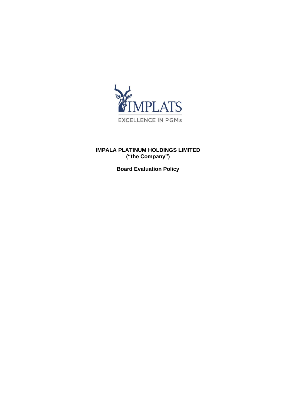

# **IMPALA PLATINUM HOLDINGS LIMITED ("the Company")**

**Board Evaluation Policy**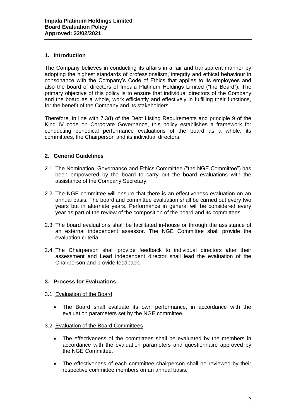# **1. Introduction**

The Company believes in conducting its affairs in a fair and transparent manner by adopting the highest standards of professionalism, integrity and ethical behaviour in consonance with the Company's Code of Ethics that applies to its employees and also the board of directors of Impala Platinum Holdings Limited ("the Board"). The primary objective of this policy is to ensure that individual directors of the Company and the board as a whole, work efficiently and effectively in fulfilling their functions, for the benefit of the Company and its stakeholders.

Therefore, in line with 7.3(f) of the Debt Listing Requirements and principle 9 of the King IV code on Corporate Governance, this policy establishes a framework for conducting periodical performance evaluations of the board as a whole, its committees, the Chairperson and its individual directors.

# **2. General Guidelines**

- 2.1. The Nomination, Governance and Ethics Committee ("the NGE Committee") has been empowered by the board to carry out the board evaluations with the assistance of the Company Secretary.
- 2.2. The NGE committee will ensure that there is an effectiveness evaluation on an annual basis. The board and committee evaluation shall be carried out every two years but in alternate years. Performance in general will be considered every year as part of the review of the composition of the board and its committees.
- 2.3. The board evaluations shall be facilitated in-house or through the assistance of an external independent assessor. The NGE Committee shall provide the evaluation criteria.
- 2.4. The Chairperson shall provide feedback to individual directors after their assessment and Lead independent director shall lead the evaluation of the Chairperson and provide feedback.

# **3. Process for Evaluations**

- 3.1. Evaluation of the Board
	- The Board shall evaluate its own performance, in accordance with the evaluation parameters set by the NGE committee.

### 3.2. Evaluation of the Board Committees

- The effectiveness of the committees shall be evaluated by the members in accordance with the evaluation parameters and questionnaire approved by the NGE Committee.
- The effectiveness of each committee chairperson shall be reviewed by their respective committee members on an annual basis.